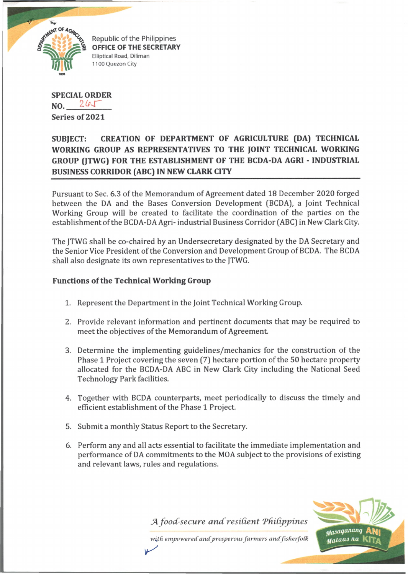

Republic of the Philippines **OFFICE OF THE SECRETARY** Elliptical Road, Diliman 1100 Quezon City

**SPECIAL ORDER NO. Series of 2021**

## **SUBJECT: CREATION OF DEPARTMENT OF AGRICULTURE (DA) TECHNICAL WORKING GROUP AS REPRESENTATIVES TO THE JOINT TECHNICAL WORKING GROUP (JTWG) FOR THE ESTABLISHMENT OF THE BCDA-DA AGRI - INDUSTRIAL BUSINESS CORRIDOR (ABC) IN NEW CLARK CITY**

Pursuant to Sec. 6.3 of the Memorandum of Agreement dated 18 December 2020 forged between the DA and the Bases Conversion Development (BCDA), a Joint Technical Working Group will be created to facilitate the coordination of the parties on the establishment of the BCDA-DA Agri- industrial Business Corridor (ABC) in New Clark City.

The JTWG shall be co-chaired by an Undersecretary designated by the DA Secretary and the Senior Vice President of the Conversion and Development Group of BCDA. The BCDA shall also designate its own representatives to the JTWG.

## **Functions of the Technical Working Group**

- 1. Represent the Department in the Joint Technical Working Group.
- 2. Provide relevant information and pertinent documents that may be required to meet the objectives of the Memorandum of Agreement
- 3. Determine the implementing guidelines/mechanics for the construction of the Phase 1 Project covering the seven (7) hectare portion of the 50 hectare property allocated for the BCDA-DA ABC in New Clark City including the National Seed Technology Park facilities.
- 4. Together with BCDA counterparts, meet periodically to discuss the timely and efficient establishment of the Phase 1 Project.
- 5. Submit a monthly Status Report to the Secretary.

 $\sqrt{ }$ 

6. Perform any and all acts essential to facilitate the immediate implementation and performance of DA commitments to the MOA subject to the provisions of existing and relevant laws, rules and regulations.

*A. food-secure and resilient Philippines* 

Masaganang **Mataas na** 

*with empowered andprosperous farm ers andfisherfoCk*